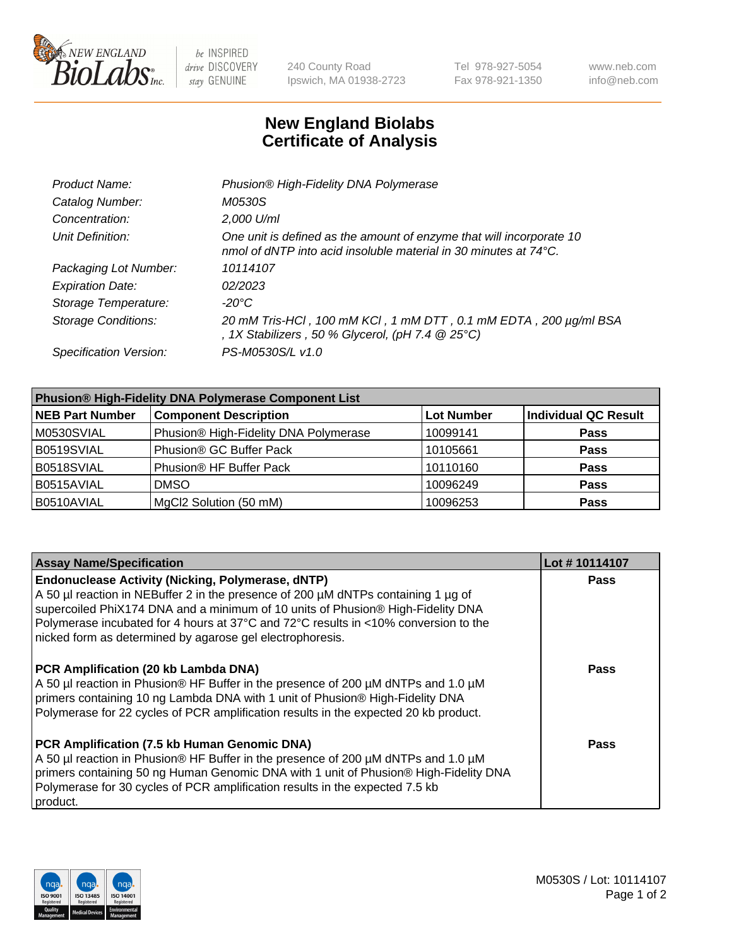

 $be$  INSPIRED drive DISCOVERY stay GENUINE

240 County Road Ipswich, MA 01938-2723 Tel 978-927-5054 Fax 978-921-1350 www.neb.com info@neb.com

## **New England Biolabs Certificate of Analysis**

| Product Name:              | Phusion® High-Fidelity DNA Polymerase                                                                                                    |
|----------------------------|------------------------------------------------------------------------------------------------------------------------------------------|
| Catalog Number:            | <i>M0530S</i>                                                                                                                            |
| Concentration:             | 2,000 U/ml                                                                                                                               |
| Unit Definition:           | One unit is defined as the amount of enzyme that will incorporate 10<br>nmol of dNTP into acid insoluble material in 30 minutes at 74°C. |
| Packaging Lot Number:      | 10114107                                                                                                                                 |
| <b>Expiration Date:</b>    | 02/2023                                                                                                                                  |
| Storage Temperature:       | $-20^{\circ}$ C                                                                                                                          |
| <b>Storage Conditions:</b> | 20 mM Tris-HCl, 100 mM KCl, 1 mM DTT, 0.1 mM EDTA, 200 µg/ml BSA<br>, 1X Stabilizers, 50 % Glycerol, (pH 7.4 $@25°C$ )                   |
| Specification Version:     | PS-M0530S/L v1.0                                                                                                                         |

| <b>Phusion® High-Fidelity DNA Polymerase Component List</b> |                                       |                   |                             |  |
|-------------------------------------------------------------|---------------------------------------|-------------------|-----------------------------|--|
| <b>NEB Part Number</b>                                      | <b>Component Description</b>          | <b>Lot Number</b> | <b>Individual QC Result</b> |  |
| M0530SVIAL                                                  | Phusion® High-Fidelity DNA Polymerase | 10099141          | <b>Pass</b>                 |  |
| B0519SVIAL                                                  | Phusion <sup>®</sup> GC Buffer Pack   | 10105661          | <b>Pass</b>                 |  |
| B0518SVIAL                                                  | Phusion® HF Buffer Pack               | 10110160          | <b>Pass</b>                 |  |
| B0515AVIAL                                                  | <b>DMSO</b>                           | 10096249          | <b>Pass</b>                 |  |
| B0510AVIAL                                                  | MgCl2 Solution (50 mM)                | 10096253          | <b>Pass</b>                 |  |

| <b>Assay Name/Specification</b>                                                                                                                                                                                                                                                                                                                                                      | Lot #10114107 |
|--------------------------------------------------------------------------------------------------------------------------------------------------------------------------------------------------------------------------------------------------------------------------------------------------------------------------------------------------------------------------------------|---------------|
| <b>Endonuclease Activity (Nicking, Polymerase, dNTP)</b><br>A 50 µl reaction in NEBuffer 2 in the presence of 200 µM dNTPs containing 1 µg of<br>supercoiled PhiX174 DNA and a minimum of 10 units of Phusion® High-Fidelity DNA<br>Polymerase incubated for 4 hours at 37°C and 72°C results in <10% conversion to the<br>nicked form as determined by agarose gel electrophoresis. | <b>Pass</b>   |
| <b>PCR Amplification (20 kb Lambda DNA)</b><br>A 50 µl reaction in Phusion® HF Buffer in the presence of 200 µM dNTPs and 1.0 µM<br>primers containing 10 ng Lambda DNA with 1 unit of Phusion® High-Fidelity DNA<br>Polymerase for 22 cycles of PCR amplification results in the expected 20 kb product.                                                                            | Pass          |
| PCR Amplification (7.5 kb Human Genomic DNA)<br>A 50 µl reaction in Phusion® HF Buffer in the presence of 200 µM dNTPs and 1.0 µM<br>primers containing 50 ng Human Genomic DNA with 1 unit of Phusion® High-Fidelity DNA<br>Polymerase for 30 cycles of PCR amplification results in the expected 7.5 kb<br>product.                                                                | Pass          |